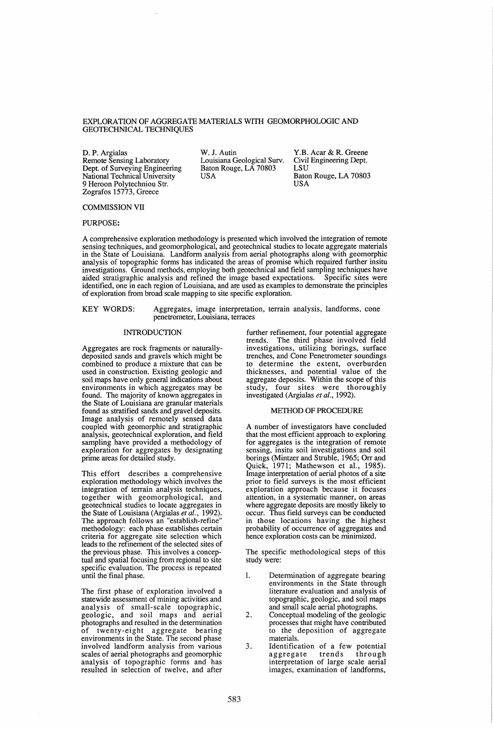# EXPLORATION OF AGGREGATE MATERIALS WITH GEOMORPHOLOGIC AND GEOTECHNICAL TECHNIQUES

D. P. Argialas W. J. Autin Remote Sensing Laboratory Dept. of Surveying Engineering National Technical University 9 Heroon Polytechniou Str. Zografos 15773, Greece

Louisiana Geological Surv. Baton Rouge, LA 70803 USA

Y.B. Acar & R. Greene Civil Engineering Dept. LSU Baton Rouge, LA 70803

# COMMISSION VII

PURPOSE:

A comprehensive exploration methodology is presented which involved the integration of remote sensing techniques, and geomorphological, and geotechnical studies to locate aggregate materials in the State of Louisiana. Landform analysis from aerial photographs along with geomorphic analysis of topographic forms has indicated the areas of promise which required further insitu investigations. Ground methods, employing both geotechnical and field sampling techniques have aided stratigraphic analysis and refined the image based expectations. Specific sites were identified, one in each region of Louisiana, and are used as examples to demonstrate the principles of exploration from broad scale mapping to site specific exploration.

KEY WORDS: Aggregates, image interpretation, terrain analysis, landforms, cone penetrometer, Louisiana, terraces

#### INTRODUCTION

Aggregates are rock fragments or naturallydeposited sands and gravels which might be combined to produce a mixture that can be used in construction. Existing geologic and soil maps have only general indications about environments in which aggregates may be found. The majority of known aggregates in the State of Louisiana are granular materials found as stratified sands and gravel deposits. Image analysis of remotely sensed data coupled with geomorphic and stratigraphic analysis, geotechnical exploration, and field sampling have provided a methodology of exploration for aggregates by designating prime areas for detailed study.

This effort describes a comprehensive exploration methodology which involves the integration of terrain analysis techniques, together with geomorphological, and geotechnical studies to locate aggregates in the State of Louisiana (Argialas *et al., 1992).*  The approach follows an "establish-refine" methodology: each phase establishes certain criteria for aggregate site selection which leads to the refinement of the selected sites of the previous phase. This involves a conceptual and spatial focusing from regional to site specific evaluation. The process is repeated until the final phase.

The first phase of exploration involved a statewide assessment of mining activities and analysis of small-scale topographic, geologic, and soil maps and aerial photographs and resulted in the determination of twenty-eight aggregate bearing environments in the State. The second phase involved landform analysis from various scales of aerial photographs and geomorphic analysis of topographic forms and has resulted in selection of twelve, and after

further refinement, four potential aggregate trends. The third phase involved field investigations, utilizing borings, surface trenches, and Cone Penetrometer soundings to determine the extent, overburden thicknesses, and potential value of the aggregate deposits. Within the scope of this study, four sites were thoroughly investigated (Argialas *et al., 1992).* 

## METHOD OF PROCEDURE

A number of investigators have concluded that the most efficient approach to exploring for aggregates is the integration of remote sensing, insitu soil investigations and soil borings (Mintzer and Struble, 1965; Orr and Quick, 1971; Mathewson et aI., 1985). Image interpretation of aerial photos of a site prior to field surveys is the most efficient exploration approach because it focuses attention, in a systematic manner, on areas where aggregate deposits are mostly likely to occur. Thus field surveys can be conducted in those locations having the highest probability of occurrence of aggregates and hence exploration costs can be minimized.

The specific methodological steps of this study were:

- 1. Determination of aggregate bearing environments in the State through literature evaluation and analysis of topographic, geologic, and soil maps and small scale aerial photographs.
- 2. Conceptual modeling of the geologic processes that might have contributed to the deposition of aggregate materials.
- 3. Identification of a few potential aggregate interpretation of large scale aerial images, examination of landforms,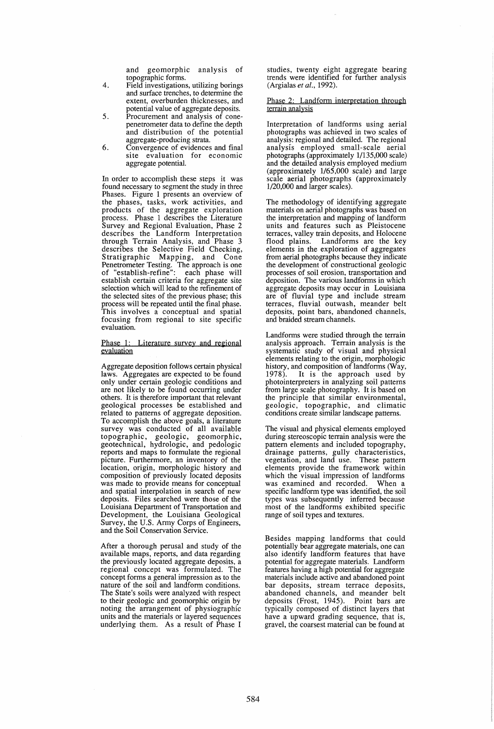and geomorphic analysis of topographic forms.

- 4. Field investigations, utilizing borings and surface trenches, to determine the extent, overburden thicknesses, and potential value of aggregate deposits.
- 5. Procurement and analysis of conepenetrometer data to define the depth and distribution of the potential aggregate-producing strata.
- 6. Convergence of evidences and final site evaluation for economic aggregate potential.

In order to accomplish these steps it was found necessary to segment the study in three Phases. Figure 1 presents an overview of the phases, tasks, work activities, and products of the aggregate exploration process. Phase 1 describes the Literature Survey and Regional Evaluation, Phase 2 describes the Landform Interpretation through Terrain Analysis, and Phase 3 describes the Selective Field Checking, Stratigraphic Mapping, and Cone Penetrometer Testing. The approach is one of "establish-refine": each phase will establish certain criteria for aggregate site selection which will lead to the refinement of the selected sites of the previous phase; this process will be repeated until the final phase. This involves a conceptual and spatial focusing from regional to site specific evaluation.

### Phase 1: Literature survey and regional evaluation

Aggregate deposition follows certain physical laws. Aggregates are expected to be found only under certain geologic conditions and are not likely to be found occurring under others. It is therefore important that relevant geological processes be established and related to patterns of aggregate deposition. To accomplish the above goals, a literature survey was conducted of all available topographic, geologic, geomorphic, geotechnical, hydrologic, and pedologic reports and maps to formulate the regional picture. Furthermore, an inventory of the location, origin, morphologic history and<br>composition of previously located deposits was made to provide means for conceptual<br>and spatial interpolation in search of new deposits. Files searched were those of the Louisiana Department of Transportation and Development, the Louisiana Geological Survey, the U.S. Army Corps of Engineers, and the Soil Conservation Service.

After a thorough perusal and study of the available maps, reports, and data regarding the previously located aggregate deposits, a regional concept was formulated. The concept forms a general impression as to the nature of the soil and landform conditions. The State's soils were analyzed with respect to their geologic and geomorphic origin by noting the arrangement of physiographic units and the materials or layered sequences underlying them. As a result of Phase I

studies, twenty eight aggregate bearing trends were identified for further analysis (Argialas *et al., 1992).* 

Phase 2: Landform interpretation through terrain analysis

Interpretation of landforms using aerial photographs was achieved in two scales of analysis: regional and detailed. The regional analysis employed small-scale aerial photographs (approximately 1/135,000 scale) and the detailed analysis employed medium (approximately 1/65,000 scale) and large scale aerial photographs (approximately 1/20,000 and larger scales).

The methodology of identifying aggregate<br>materials on aerial photographs was based on the interpretation and mapping of landform units and features such as Pleistocene terraces, valley train deposits, and Holocene flood plains. Landforms are the key elements in the exploration of aggregates from aerial photographs because they indicate the development of constructional geologic processes of soil erosion, transportation and deposition. The various landforms in which aggregate deposits may occur in Louisiana are of fluvial type and include stream terraces, fluvial outwash, meander belt deposits, point bars, abandoned channels, and braided stream channels.

Landforms were studied through the terrain analysis approach. Terrain analysis is the systematic study of visual and physical elements relating to the origin, morphologic history, and composition of landforms (Way, 1978). It is the approach used by photointerpreters in analyzing soil patterns from large scale photography. It is based on the principle that similar environmental, geologic, topographic, and climatic conditions create similar landscape patterns.

The visual and physical elements employed during stereoscopic terrain analysis were the pattern elements and included topography, drainage patterns, gully characteristics, vegetation, and land use. These pattern elements provide the framework within which the visual impression of landforms was examined and recorded. When a specific landform type was identified, the soil types was subsequently inferred because most of the landforms exhibited specific range of soil types and textures.

Besides mapping landforms that could potentially bear aggregate materials, one can also identify landform features that have potential for aggregate materials. Landform features having a high potential for aggregate materials include active and abandoned point bar deposits, stream terrace deposits, abandoned channels, and meander belt deposits (Frost, 1945). Point bars are typically composed of distinct layers that have a upward grading sequence, that is, gravel, the coarsest material can be found at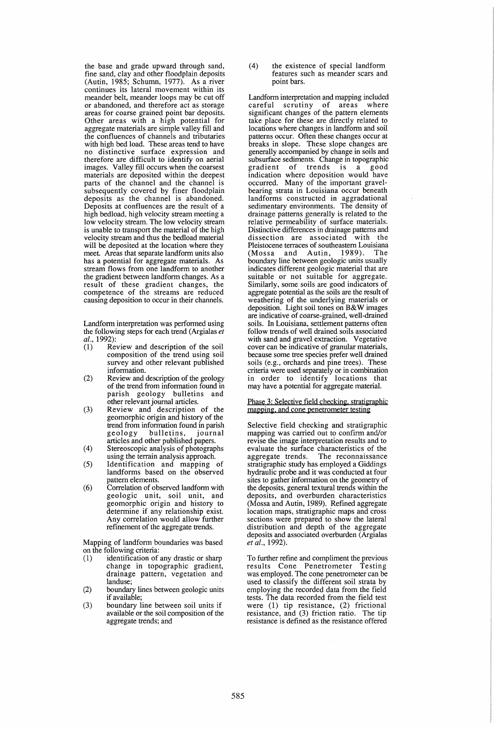the base and grade upward through sand, fine sand, clay and other floodplain deposits (Autin, 1985; Schumn, 1977). As a river continues its lateral movement within its meander belt, meander loops may be cut off<br>or abandoned, and therefore act as storage areas for coarse grained point bar deposits. Other areas with a high potential for aggregate materials are simple valley fill and the confluences of channels and tributaries with high bed load. These areas tend to have no distinctive surface expression and therefore are difficult to identify on aerial images. Valley fill occurs when the coarsest materials are deposited within the deepest parts of the channel and the channel is subsequently covered by finer floodplain deposits as the channel is abandoned. Deposits at confluences are the result of a high bedload, high velocity stream meeting a low velocity stream. The low velocity stream is unable to transport the material of the high velocity stream and thus the bedload material will be deposited at the location where they meet. Areas that separate landform units also has a potential for aggregate materials. As stream flows from one landform to another the gradient between landform changes. As a result of these gradient changes, the competence of the streams are reduced causing deposition to occur in their channels.

Landform interpretation was performed using the following steps for each trend (Argialas *et al.*, 1992):<br>(1) Rev

- Review and description of the soil composition of the trend using soil survey and other relevant published information.
- (2) Review and description of the geology of the trend from information found in<br>parish geology bulletins and parish geology bulletins other relevant journal articles.
- (3) Review and description of the geomorphic origin and history of the trend from information found in parish geology bulletins, journal articles and other published papers.
- (4) Stereoscopic analysis of photographs using the terrain analysis approach.
- (5) Identification and mapping of landforms based on the observed pattern elements.
- (6) Correlation of observed landform with geologic unit, soil unit, and geomorphic origin and history to determine if any relationship exist. Any correlation would allow further refinement of the aggregate trends.

Mapping of landform boundaries was based on the following criteria:

- (1) identification of any drastic or sharp change in topographic gradient, drainage pattern, vegetation and landuse;
- (2) boundary lines between geologic units if available;
- (3) boundary line between soil units if available or the soil composition of the aggregate trends; and

(4) the existence of special landform features such as meander scars and point bars.

Landform interpretation and mapping included careful scrutiny of areas where significant changes of the pattern elements take place for these are directly related to locations where changes in landform and soil patterns occur. Often these changes occur at<br>breaks in slope. These slope changes are generally accompanied by change in soils and subsurface sediments. Change in topographic<br>gradient of trends is a good gradient of trends is a indication where deposition would have occurred. Many of the important gravelbearing strata in Louisiana occur beneath landforms constructed in aggradational sedimentary environments. The density of drainage patterns generally is related to the relative permeability of surface materials. Distinctive differences in drainage pattems and dissection are associated with the Pleistocene terraces of southeastern Louisiana<br>(Mossa and Autin, 1989). The (Mossa and Autin, boundary line between geologic units usually indicates different geologic material that are suitable or not suitable for aggregate. Similarly, some soils are good indicators of aggregate potential as the soils are the result of weathering of the underlying materials or deposition. Light soil tones on B&W images are indicative of coarse-grained, well-drained soils. In Louisiana, settlement patterns often follow trends of well drained soils associated with sand and gravel extraction. Vegetative cover can be indicative of granular materials, because some tree species prefer well drained soils (e.g., orchards and pine trees). These criteria were used separately or in combination in order to identify locations that may have a potential for aggregate material.

### Phase 3: Selective field checking, stratigraphic mapping, and cone penetrometer testing

Selective field checking and stratigraphic mapping was carried out to confirm and/or revise the image interpretation results and to evaluate the surface characteristics of the aggregate trends. The reconnaissance stratigraphic study has employed a Giddings hydraulic probe and it was conducted at four sites to gather information on the geometry of the deposits, general textural trends within the deposits, and overburden characteristics (Mossa and Autin, 1989). Refined aggregate location maps, stratigraphic maps and cross sections were prepared to show the lateral distribution and depth of the aggregate deposits and associated overburden (Argialas *et al., 1992).* 

To further refine and compliment the previous results Cone Penetrometer Testing was employed. The cone penetrometer can be used to classify the different soil strata by employing the recorded data from the field tests. The data recorded from the field test were (1) tip resistance, (2) frictional resistance, and (3) friction ratio. The tip resistance is defined as the resistance offered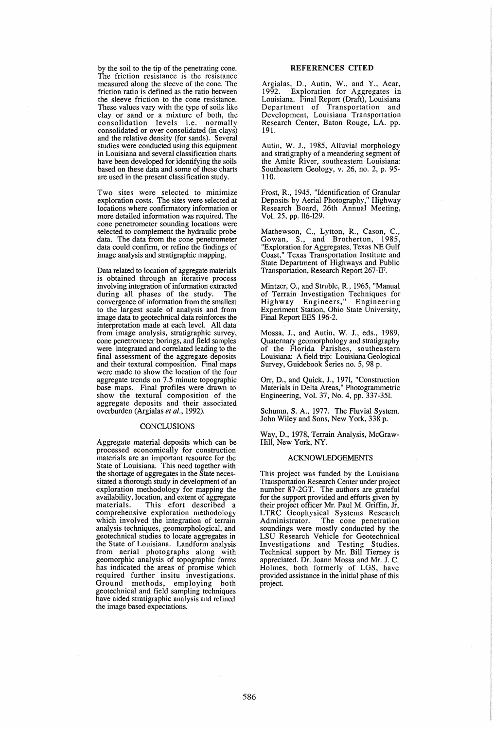by the soil to the tip of the penetrating cone. The friction resistance is the resistance measured along the sleeve of the cone. The friction ratio is defined as the ratio between the sleeve friction to the cone resistance. These values vary with the type of soils like clay or sand or a mixture of both, the consolidation levels i.e. normally consolidated or over consolidated (in clays) and the relative density (for sands). Several studies were conducted using this equipment in Louisiana and several classification charts have been developed for identifying the soils<br>based on these data and some of these charts are used in the present classification study.

Two sites were selected to minimize exploration costs. The sites were selected at locations where confirmatory information or<br>more detailed information was required. The cone penetrometer sounding locations were selected to complement the hydraulic probe data. The data from the cone penetrometer data could confirm, or refine the findings of image analysis and stratigraphic mapping.

Data related to location of aggregate materials is obtained through an iterative process involving integration of information extracted during all phases of the study. convergence of information from the smallest to the largest scale of analysis and from image data to geotechnical data reinforces the interpretation made at each level. All data from image analysis, stratigraphic survey, cone penetrometer borings, and field samples were integrated and correlated leading to the final assessment of the aggregate deposits and their textural composition. Final maps were made to show the location of the four aggregate trends on 7.5 minute topographic base maps. Final profiles were drawn to show the textural composition of the aggregate deposits and their associated overburden (Argialas *et al., 1992).* 

## **CONCLUSIONS**

Aggregate material deposits which can be processed economically for construction materials are an important resource for the State of Louisiana. This need together with the shortage of aggregates in the State neces-<br>sitated a thorough study in development of an exploration methodology for mapping the availability, location, and extent of aggregate materials. This efort described a comprehensive exploration methodology which involved the integration of terrain analysis techniques, geomorphological, and geotechnical studies to locate aggregates in the State of Louisiana. Landform analysis from aerial photographs along with geomorphic analysis of topographic forms has indicated the areas of promise which required further insitu investigations. Ground methods, employing both geotechnical and field sampling techniques have aided stratigraphic analysis and refined the image based expectations.

### REFERENCES CITED

Argialas, D., Autin, W., and Y., Acar, 1992. Exploration for Aggregates in Louisiana. Final Report (Draft), Louisiana Department of Transportation and Development, Louisiana<sup>†</sup> Transportation Research Center, Baton Rouge, LA. pp. 191.

Autin, W. J., 1985, Alluvial morphology and stratigraphy of a meandering segment of the Amite River, southeastern Louisiana: Southeastern Geology, v. 26, no. 2, p. 95- 110.

Frost, R., 1945, "Identification of Granular Deposits by Aerial Photography," Highway Research Board, 26th Annual Meeting, Vol. 25, pp. 116-129.

Mathewson, C., Lytton, R., Cason, C., Gowan, *S.,* and Brotherton, 1985, "Exploration for Aggregates, Texas NE Gulf Coast," Texas Transportation Institute and State Department of Highways and Public Transportation, Research Report 267-IF.

Mintzer, 0., and Struble, R., 1965, "Manual of Terrain Investigation Techniques for Highway Engineers," Engineering Experiment Station, Ohio State University, Final Report EES 196-2.

Mossa, J., and Autin, W. J., eds., 1989, Quaternary geomorphology and stratigraphy of the Florida Parishes, southeastern Louisiana: A field trip: Louisiana Geological Survey, Guidebook Series no. 5,98 p.

Orr, D., and Quick, J., 1971, "Construction Materials in Delta Areas," Photogrammetric Engineering, Vol. 37, No.4, pp. 337-351.

Schumn, S. A., 1977. The Fluvial System. John Wiley and Sons, New York, 338 p.

Way, D., 1978, Terrain Analysis, McGraw-Hill, New York, NY.

#### ACKNOWLEDGEMENTS

This project was funded by the Louisiana Transportation Research Center under project number 87-2GT. The authors are grateful for the support provided and efforts given by their project officer Mr. Paul M. Griffin, Jr, LTRC Geophysical Systems Research Administrator. The cone penetration soundings were mostly conducted by the LSU Research Vehicle for Geotechnical Investigations and Testing Studies. Technical support by Mr. Bill Tierney is appreciated. Dr. Joann Mossa and Mr. J. C. Holmes, both formerly of LGS, have provided assistance in the initial phase of this project.